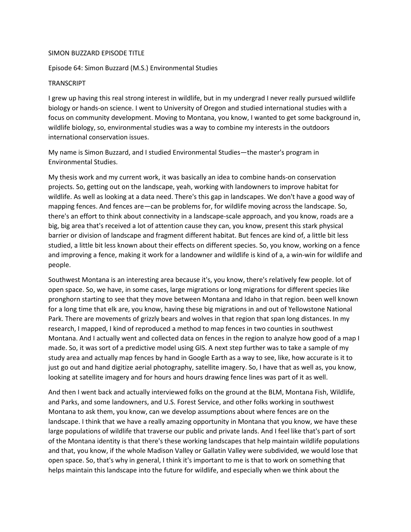## SIMON BUZZARD EPISODE TITLE

## Episode 64: Simon Buzzard (M.S.) Environmental Studies

## TRANSCRIPT

I grew up having this real strong interest in wildlife, but in my undergrad I never really pursued wildlife biology or hands-on science. I went to University of Oregon and studied international studies with a focus on community development. Moving to Montana, you know, I wanted to get some background in, wildlife biology, so, environmental studies was a way to combine my interests in the outdoors international conservation issues.

My name is Simon Buzzard, and I studied Environmental Studies—the master's program in Environmental Studies.

My thesis work and my current work, it was basically an idea to combine hands-on conservation projects. So, getting out on the landscape, yeah, working with landowners to improve habitat for wildlife. As well as looking at a data need. There's this gap in landscapes. We don't have a good way of mapping fences. And fences are—can be problems for, for wildlife moving across the landscape. So, there's an effort to think about connectivity in a landscape-scale approach, and you know, roads are a big, big area that's received a lot of attention cause they can, you know, present this stark physical barrier or division of landscape and fragment different habitat. But fences are kind of, a little bit less studied, a little bit less known about their effects on different species. So, you know, working on a fence and improving a fence, making it work for a landowner and wildlife is kind of a, a win-win for wildlife and people.

Southwest Montana is an interesting area because it's, you know, there's relatively few people. lot of open space. So, we have, in some cases, large migrations or long migrations for different species like pronghorn starting to see that they move between Montana and Idaho in that region. been well known for a long time that elk are, you know, having these big migrations in and out of Yellowstone National Park. There are movements of grizzly bears and wolves in that region that span long distances. In my research, I mapped, I kind of reproduced a method to map fences in two counties in southwest Montana. And I actually went and collected data on fences in the region to analyze how good of a map I made. So, it was sort of a predictive model using GIS. A next step further was to take a sample of my study area and actually map fences by hand in Google Earth as a way to see, like, how accurate is it to just go out and hand digitize aerial photography, satellite imagery. So, I have that as well as, you know, looking at satellite imagery and for hours and hours drawing fence lines was part of it as well.

And then I went back and actually interviewed folks on the ground at the BLM, Montana Fish, Wildlife, and Parks, and some landowners, and U.S. Forest Service, and other folks working in southwest Montana to ask them, you know, can we develop assumptions about where fences are on the landscape. I think that we have a really amazing opportunity in Montana that you know, we have these large populations of wildlife that traverse our public and private lands. And I feel like that's part of sort of the Montana identity is that there's these working landscapes that help maintain wildlife populations and that, you know, if the whole Madison Valley or Gallatin Valley were subdivided, we would lose that open space. So, that's why in general, I think it's important to me is that to work on something that helps maintain this landscape into the future for wildlife, and especially when we think about the